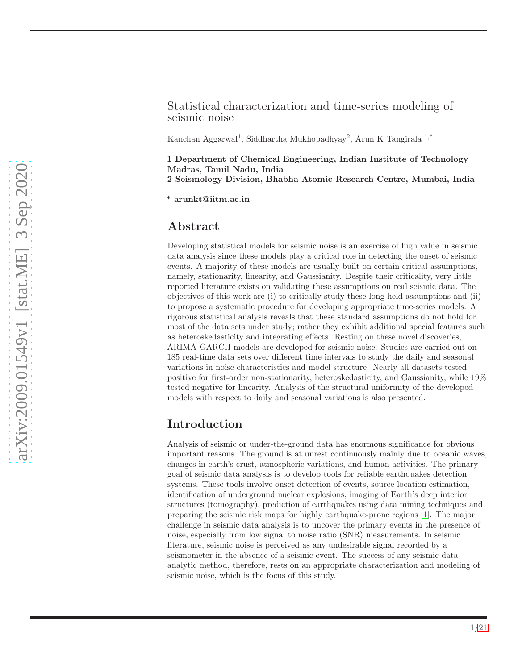#### Statistical characterization and time-series modeling of seismic noise

Kanchan Aggarwal<sup>1</sup>, Siddhartha Mukhopadhyay<sup>2</sup>, Arun K Tangirala <sup>1,\*</sup>

1 Department of Chemical Engineering, Indian Institute of Technology Madras, Tamil Nadu, India

2 Seismology Division, Bhabha Atomic Research Centre, Mumbai, India

\* arunkt@iitm.ac.in

#### Abstract

Developing statistical models for seismic noise is an exercise of high value in seismic data analysis since these models play a critical role in detecting the onset of seismic events. A majority of these models are usually built on certain critical assumptions, namely, stationarity, linearity, and Gaussianity. Despite their criticality, very little reported literature exists on validating these assumptions on real seismic data. The objectives of this work are (i) to critically study these long-held assumptions and (ii) to propose a systematic procedure for developing appropriate time-series models. A rigorous statistical analysis reveals that these standard assumptions do not hold for most of the data sets under study; rather they exhibit additional special features such as heteroskedasticity and integrating effects. Resting on these novel discoveries, ARIMA-GARCH models are developed for seismic noise. Studies are carried out on 185 real-time data sets over different time intervals to study the daily and seasonal variations in noise characteristics and model structure. Nearly all datasets tested positive for first-order non-stationarity, heteroskedasticity, and Gaussianity, while 19% tested negative for linearity. Analysis of the structural uniformity of the developed models with respect to daily and seasonal variations is also presented.

## Introduction

Analysis of seismic or under-the-ground data has enormous significance for obvious important reasons. The ground is at unrest continuously mainly due to oceanic waves, changes in earth's crust, atmospheric variations, and human activities. The primary goal of seismic data analysis is to develop tools for reliable earthquakes detection systems. These tools involve onset detection of events, source location estimation, identification of underground nuclear explosions, imaging of Earth's deep interior structures (tomography), prediction of earthquakes using data mining techniques and preparing the seismic risk maps for highly earthquake-prone regions [\[1\]](#page-13-0). The major challenge in seismic data analysis is to uncover the primary events in the presence of noise, especially from low signal to noise ratio (SNR) measurements. In seismic literature, seismic noise is perceived as any undesirable signal recorded by a seismometer in the absence of a seismic event. The success of any seismic data analytic method, therefore, rests on an appropriate characterization and modeling of seismic noise, which is the focus of this study.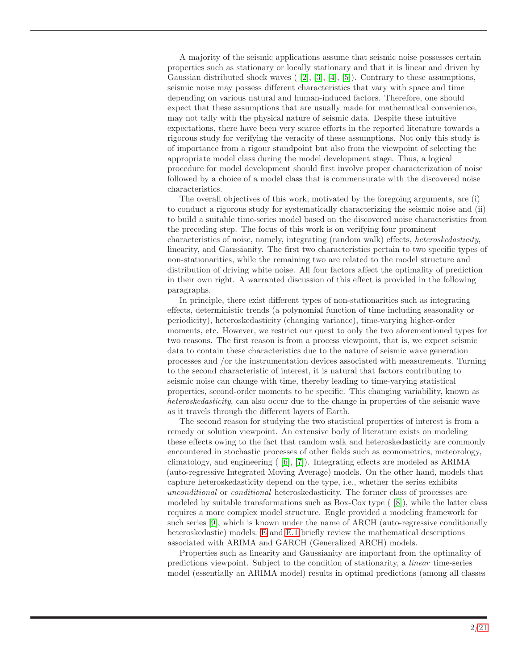A majority of the seismic applications assume that seismic noise possesses certain properties such as stationary or locally stationary and that it is linear and driven by Gaussian distributed shock waves  $([2], [3], [4], [5])$  $([2], [3], [4], [5])$  $([2], [3], [4], [5])$  $([2], [3], [4], [5])$  $([2], [3], [4], [5])$  $([2], [3], [4], [5])$  $([2], [3], [4], [5])$ . Contrary to these assumptions, seismic noise may possess different characteristics that vary with space and time depending on various natural and human-induced factors. Therefore, one should expect that these assumptions that are usually made for mathematical convenience, may not tally with the physical nature of seismic data. Despite these intuitive expectations, there have been very scarce efforts in the reported literature towards a rigorous study for verifying the veracity of these assumptions. Not only this study is of importance from a rigour standpoint but also from the viewpoint of selecting the appropriate model class during the model development stage. Thus, a logical procedure for model development should first involve proper characterization of noise followed by a choice of a model class that is commensurate with the discovered noise characteristics.

The overall objectives of this work, motivated by the foregoing arguments, are (i) to conduct a rigorous study for systematically characterizing the seismic noise and (ii) to build a suitable time-series model based on the discovered noise characteristics from the preceding step. The focus of this work is on verifying four prominent characteristics of noise, namely, integrating (random walk) effects, *heteroskedasticity*, linearity, and Gaussianity. The first two characteristics pertain to two specific types of non-stationarities, while the remaining two are related to the model structure and distribution of driving white noise. All four factors affect the optimality of prediction in their own right. A warranted discussion of this effect is provided in the following paragraphs.

In principle, there exist different types of non-stationarities such as integrating effects, deterministic trends (a polynomial function of time including seasonality or periodicity), heteroskedasticity (changing variance), time-varying higher-order moments, etc. However, we restrict our quest to only the two aforementioned types for two reasons. The first reason is from a process viewpoint, that is, we expect seismic data to contain these characteristics due to the nature of seismic wave generation processes and /or the instrumentation devices associated with measurements. Turning to the second characteristic of interest, it is natural that factors contributing to seismic noise can change with time, thereby leading to time-varying statistical properties, second-order moments to be specific. This changing variability, known as *heteroskedasticity*, can also occur due to the change in properties of the seismic wave as it travels through the different layers of Earth.

The second reason for studying the two statistical properties of interest is from a remedy or solution viewpoint. An extensive body of literature exists on modeling these effects owing to the fact that random walk and heteroskedasticity are commonly encountered in stochastic processes of other fields such as econometrics, meteorology, climatology, and engineering ( [\[6\]](#page-13-5), [\[7\]](#page-13-6)). Integrating effects are modeled as ARIMA (auto-regressive Integrated Moving Average) models. On the other hand, models that capture heteroskedasticity depend on the type, i.e., whether the series exhibits *unconditional* or *conditional* heteroskedasticity. The former class of processes are modeled by suitable transformations such as  $Box-Cox$  type  $(8)$ , while the latter class requires a more complex model structure. Engle provided a modeling framework for such series [\[9\]](#page-13-8), which is known under the name of ARCH (auto-regressive conditionally heteroskedastic) models. [E](#page-19-0) and [E.1](#page-19-1) briefly review the mathematical descriptions associated with ARIMA and GARCH (Generalized ARCH) models.

Properties such as linearity and Gaussianity are important from the optimality of predictions viewpoint. Subject to the condition of stationarity, a *linear* time-series model (essentially an ARIMA model) results in optimal predictions (among all classes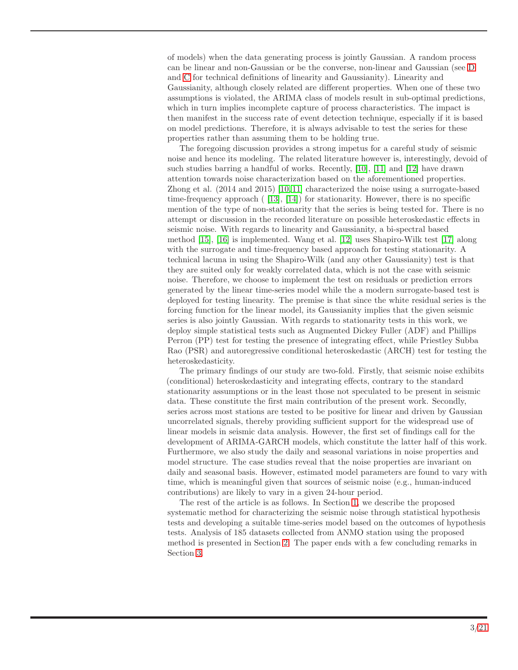of models) when the data generating process is jointly Gaussian. A random process can be linear and non-Gaussian or be the converse, non-linear and Gaussian (see [D](#page-17-0) and [C](#page-17-1) for technical definitions of linearity and Gaussianity). Linearity and Gaussianity, although closely related are different properties. When one of these two assumptions is violated, the ARIMA class of models result in sub-optimal predictions, which in turn implies incomplete capture of process characteristics. The impact is then manifest in the success rate of event detection technique, especially if it is based on model predictions. Therefore, it is always advisable to test the series for these properties rather than assuming them to be holding true.

The foregoing discussion provides a strong impetus for a careful study of seismic noise and hence its modeling. The related literature however is, interestingly, devoid of such studies barring a handful of works. Recently, [\[10\]](#page-13-9), [\[11\]](#page-13-10) and [\[12\]](#page-13-11) have drawn attention towards noise characterization based on the aforementioned properties. Zhong et al. (2014 and 2015) [\[10,](#page-13-9) [11\]](#page-13-10) characterized the noise using a surrogate-based time-frequency approach  $(13, 14)$  for stationarity. However, there is no specific mention of the type of non-stationarity that the series is being tested for. There is no attempt or discussion in the recorded literature on possible heteroskedastic effects in seismic noise. With regards to linearity and Gaussianity, a bi-spectral based method [\[15\]](#page-14-2), [\[16\]](#page-14-3) is implemented. Wang et al. [\[12\]](#page-13-11) uses Shapiro-Wilk test [\[17\]](#page-14-4) along with the surrogate and time-frequency based approach for testing stationarity. A technical lacuna in using the Shapiro-Wilk (and any other Gaussianity) test is that they are suited only for weakly correlated data, which is not the case with seismic noise. Therefore, we choose to implement the test on residuals or prediction errors generated by the linear time-series model while the a modern surrogate-based test is deployed for testing linearity. The premise is that since the white residual series is the forcing function for the linear model, its Gaussianity implies that the given seismic series is also jointly Gaussian. With regards to stationarity tests in this work, we deploy simple statistical tests such as Augmented Dickey Fuller (ADF) and Phillips Perron (PP) test for testing the presence of integrating effect, while Priestley Subba Rao (PSR) and autoregressive conditional heteroskedastic (ARCH) test for testing the heteroskedasticity.

The primary findings of our study are two-fold. Firstly, that seismic noise exhibits (conditional) heteroskedasticity and integrating effects, contrary to the standard stationarity assumptions or in the least those not speculated to be present in seismic data. These constitute the first main contribution of the present work. Secondly, series across most stations are tested to be positive for linear and driven by Gaussian uncorrelated signals, thereby providing sufficient support for the widespread use of linear models in seismic data analysis. However, the first set of findings call for the development of ARIMA-GARCH models, which constitute the latter half of this work. Furthermore, we also study the daily and seasonal variations in noise properties and model structure. The case studies reveal that the noise properties are invariant on daily and seasonal basis. However, estimated model parameters are found to vary with time, which is meaningful given that sources of seismic noise (e.g., human-induced contributions) are likely to vary in a given 24-hour period.

The rest of the article is as follows. In Section [1,](#page-3-0) we describe the proposed systematic method for characterizing the seismic noise through statistical hypothesis tests and developing a suitable time-series model based on the outcomes of hypothesis tests. Analysis of 185 datasets collected from ANMO station using the proposed method is presented in Section [2.](#page-5-0) The paper ends with a few concluding remarks in Section [3.](#page-12-0)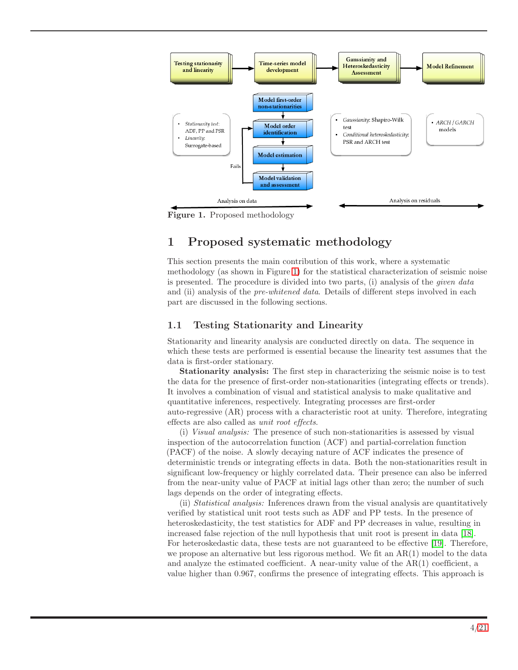<span id="page-3-1"></span>

Figure 1. Proposed methodology

# <span id="page-3-0"></span>1 Proposed systematic methodology

This section presents the main contribution of this work, where a systematic methodology (as shown in Figure [1\)](#page-3-1) for the statistical characterization of seismic noise is presented. The procedure is divided into two parts, (i) analysis of the *given data* and (ii) analysis of the *pre-whitened data*. Details of different steps involved in each part are discussed in the following sections.

## 1.1 Testing Stationarity and Linearity

Stationarity and linearity analysis are conducted directly on data. The sequence in which these tests are performed is essential because the linearity test assumes that the data is first-order stationary.

Stationarity analysis: The first step in characterizing the seismic noise is to test the data for the presence of first-order non-stationarities (integrating effects or trends). It involves a combination of visual and statistical analysis to make qualitative and quantitative inferences, respectively. Integrating processes are first-order auto-regressive (AR) process with a characteristic root at unity. Therefore, integrating effects are also called as *unit root effects*.

(i) *Visual analysis:* The presence of such non-stationarities is assessed by visual inspection of the autocorrelation function (ACF) and partial-correlation function (PACF) of the noise. A slowly decaying nature of ACF indicates the presence of deterministic trends or integrating effects in data. Both the non-stationarities result in significant low-frequency or highly correlated data. Their presence can also be inferred from the near-unity value of PACF at initial lags other than zero; the number of such lags depends on the order of integrating effects.

(ii) *Statistical analysis:* Inferences drawn from the visual analysis are quantitatively verified by statistical unit root tests such as ADF and PP tests. In the presence of heteroskedasticity, the test statistics for ADF and PP decreases in value, resulting in increased false rejection of the null hypothesis that unit root is present in data [\[18\]](#page-14-5). For heteroskedastic data, these tests are not guaranteed to be effective [\[19\]](#page-14-6). Therefore, we propose an alternative but less rigorous method. We fit an AR(1) model to the data and analyze the estimated coefficient. A near-unity value of the AR(1) coefficient, a value higher than 0.967, confirms the presence of integrating effects. This approach is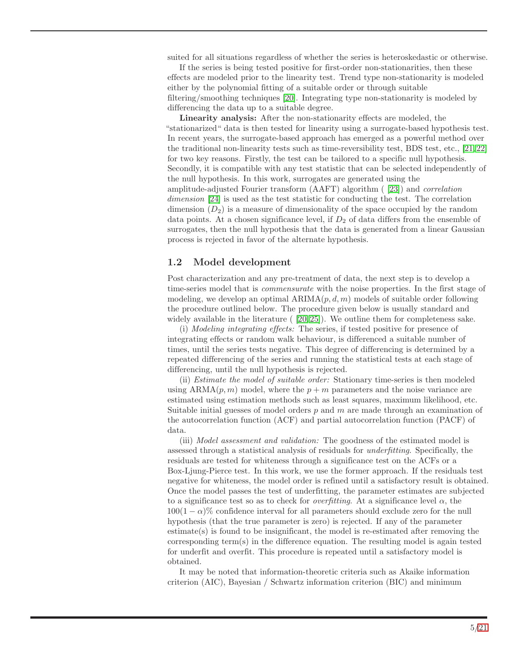suited for all situations regardless of whether the series is heteroskedastic or otherwise.

If the series is being tested positive for first-order non-stationarities, then these effects are modeled prior to the linearity test. Trend type non-stationarity is modeled either by the polynomial fitting of a suitable order or through suitable filtering/smoothing techniques [\[20\]](#page-14-7). Integrating type non-stationarity is modeled by differencing the data up to a suitable degree.

Linearity analysis: After the non-stationarity effects are modeled, the "stationarized" data is then tested for linearity using a surrogate-based hypothesis test. In recent years, the surrogate-based approach has emerged as a powerful method over the traditional non-linearity tests such as time-reversibility test, BDS test, etc., [\[21,](#page-14-8) [22\]](#page-14-9) for two key reasons. Firstly, the test can be tailored to a specific null hypothesis. Secondly, it is compatible with any test statistic that can be selected independently of the null hypothesis. In this work, surrogates are generated using the amplitude-adjusted Fourier transform (AAFT) algorithm ( [\[23\]](#page-14-10)) and *correlation dimension* [\[24\]](#page-14-11) is used as the test statistic for conducting the test. The correlation dimension  $(D_2)$  is a measure of dimensionality of the space occupied by the random data points. At a chosen significance level, if  $D_2$  of data differs from the ensemble of surrogates, then the null hypothesis that the data is generated from a linear Gaussian process is rejected in favor of the alternate hypothesis.

#### 1.2 Model development

Post characterization and any pre-treatment of data, the next step is to develop a time-series model that is *commensurate* with the noise properties. In the first stage of modeling, we develop an optimal  $ARIMA(p, d, m)$  models of suitable order following the procedure outlined below. The procedure given below is usually standard and widely available in the literature  $(20, 25)$ . We outline them for completeness sake.

(i) *Modeling integrating effects:* The series, if tested positive for presence of integrating effects or random walk behaviour, is differenced a suitable number of times, until the series tests negative. This degree of differencing is determined by a repeated differencing of the series and running the statistical tests at each stage of differencing, until the null hypothesis is rejected.

(ii) *Estimate the model of suitable order:* Stationary time-series is then modeled using  $ARMA(p, m)$  model, where the  $p + m$  parameters and the noise variance are estimated using estimation methods such as least squares, maximum likelihood, etc. Suitable initial guesses of model orders  $p$  and  $m$  are made through an examination of the autocorrelation function (ACF) and partial autocorrelation function (PACF) of data.

(iii) *Model assessment and validation:* The goodness of the estimated model is assessed through a statistical analysis of residuals for *underfitting*. Specifically, the residuals are tested for whiteness through a significance test on the ACFs or a Box-Ljung-Pierce test. In this work, we use the former approach. If the residuals test negative for whiteness, the model order is refined until a satisfactory result is obtained. Once the model passes the test of underfitting, the parameter estimates are subjected to a significance test so as to check for *overfitting*. At a significance level  $\alpha$ , the  $100(1 - \alpha)\%$  confidence interval for all parameters should exclude zero for the null hypothesis (that the true parameter is zero) is rejected. If any of the parameter estimate(s) is found to be insignificant, the model is re-estimated after removing the corresponding term(s) in the difference equation. The resulting model is again tested for underfit and overfit. This procedure is repeated until a satisfactory model is obtained.

It may be noted that information-theoretic criteria such as Akaike information criterion (AIC), Bayesian / Schwartz information criterion (BIC) and minimum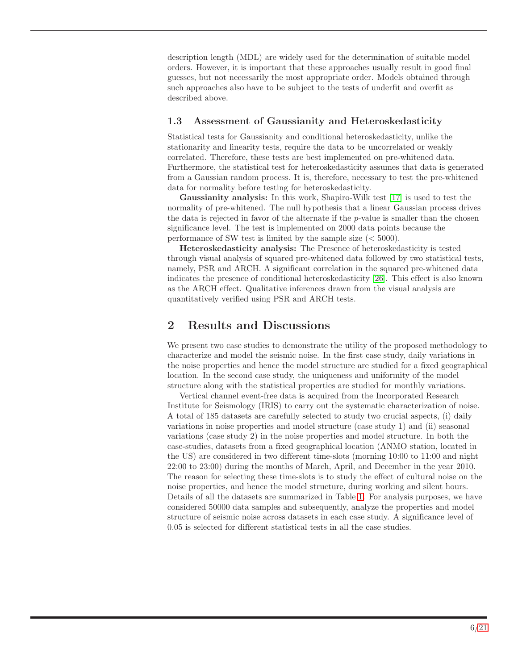description length (MDL) are widely used for the determination of suitable model orders. However, it is important that these approaches usually result in good final guesses, but not necessarily the most appropriate order. Models obtained through such approaches also have to be subject to the tests of underfit and overfit as described above.

### 1.3 Assessment of Gaussianity and Heteroskedasticity

Statistical tests for Gaussianity and conditional heteroskedasticity, unlike the stationarity and linearity tests, require the data to be uncorrelated or weakly correlated. Therefore, these tests are best implemented on pre-whitened data. Furthermore, the statistical test for heteroskedasticity assumes that data is generated from a Gaussian random process. It is, therefore, necessary to test the pre-whitened data for normality before testing for heteroskedasticity.

Gaussianity analysis: In this work, Shapiro-Wilk test [\[17\]](#page-14-4) is used to test the normality of pre-whitened. The null hypothesis that a linear Gaussian process drives the data is rejected in favor of the alternate if the  $p$ -value is smaller than the chosen significance level. The test is implemented on 2000 data points because the performance of SW test is limited by the sample size  $(< 5000$ ).

Heteroskedasticity analysis: The Presence of heteroskedasticity is tested through visual analysis of squared pre-whitened data followed by two statistical tests, namely, PSR and ARCH. A significant correlation in the squared pre-whitened data indicates the presence of conditional heteroskedasticity [\[26\]](#page-14-13). This effect is also known as the ARCH effect. Qualitative inferences drawn from the visual analysis are quantitatively verified using PSR and ARCH tests.

## <span id="page-5-0"></span>2 Results and Discussions

We present two case studies to demonstrate the utility of the proposed methodology to characterize and model the seismic noise. In the first case study, daily variations in the noise properties and hence the model structure are studied for a fixed geographical location. In the second case study, the uniqueness and uniformity of the model structure along with the statistical properties are studied for monthly variations.

Vertical channel event-free data is acquired from the Incorporated Research Institute for Seismology (IRIS) to carry out the systematic characterization of noise. A total of 185 datasets are carefully selected to study two crucial aspects, (i) daily variations in noise properties and model structure (case study 1) and (ii) seasonal variations (case study 2) in the noise properties and model structure. In both the case-studies, datasets from a fixed geographical location (ANMO station, located in the US) are considered in two different time-slots (morning 10:00 to 11:00 and night 22:00 to 23:00) during the months of March, April, and December in the year 2010. The reason for selecting these time-slots is to study the effect of cultural noise on the noise properties, and hence the model structure, during working and silent hours. Details of all the datasets are summarized in Table [1.](#page-6-0) For analysis purposes, we have considered 50000 data samples and subsequently, analyze the properties and model structure of seismic noise across datasets in each case study. A significance level of 0.05 is selected for different statistical tests in all the case studies.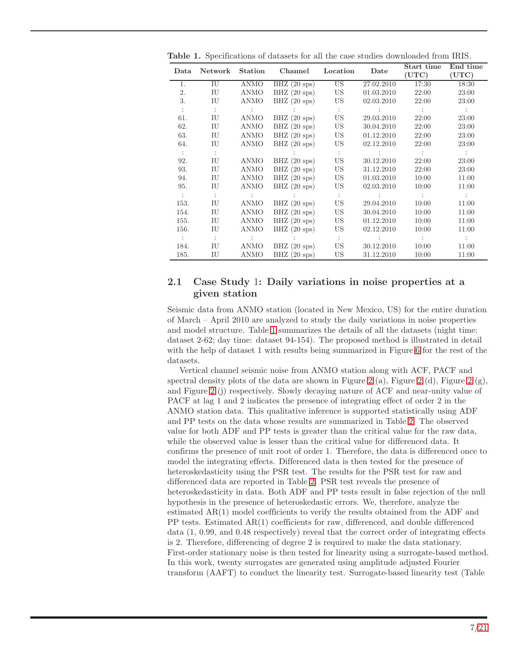| Data                 | Network     | Station | Channel                | Location<br>Date |            | Start time<br>(UTC)  | End time<br>(UTC)    |
|----------------------|-------------|---------|------------------------|------------------|------------|----------------------|----------------------|
| 1.                   | IU          | ANMO    | $BHZ$ (20 sps)         | $\overline{US}$  | 27.02.2010 | 17:30                | 18:30                |
| 2.                   | IU          | ANMO    | $BHZ$ (20 sps)         | US               | 01.03.2010 | 22:00                | 23:00                |
| 3.                   | IU          | ANMO    | $BHZ$ (20 sps)         | US.              | 02.03.2010 | 22:00                | 23:00                |
| $\ddot{\phantom{a}}$ | $\pm$       |         |                        |                  |            |                      | $\cdot$ :            |
| 61.                  | IU          | ANMO    | $BHZ$ (20 sps)         | US —             | 29.03.2010 | 22:00                | 23:00                |
| 62.                  | IU          | ANMO    | $BHZ$ (20 sps)         | US               | 30.04.2010 | 22:00                | 23:00                |
| 63.                  | IU          | ANMO    | $BHZ$ (20 sps)         | US               | 01.12.2010 | 22:00                | 23:00                |
| 64.                  | IU          | ANMO    | $BHZ(20$ sps)          | US               | 02.12.2010 | 22:00                | 23:00                |
| $\sim$               | $\cdot$ :   |         |                        | $\therefore$     |            | $\ddot{\phantom{a}}$ | $\ddot{\phantom{a}}$ |
| 92.                  | IU          | ANMO    | BHZ $(20 \text{ sys})$ | US –             | 30.12.2010 | 22:00                | 23:00                |
| 93.                  | IU          | ANMO    | BHZ $(20 \text{ sys})$ | US               | 31.12.2010 | 22:00                | 23:00                |
| 94.                  | IU          | ANMO    | BHZ $(20 \text{ sys})$ | US               | 01.03.2010 | 10:00                | 11:00                |
| 95.                  | IU          | ANMO    | $BHZ$ (20 sps)         | US.              | 02.03.2010 | 10:00                | 11:00                |
| $\pm$                | $\sim$ 1.   |         |                        |                  |            |                      |                      |
| 153.                 | IU          | ANMO    | $BHZ$ (20 sps)         | US –             | 29.04.2010 | 10:00                | 11:00                |
| 154.                 | IU          | ANMO    | $BHZ$ (20 sps)         | US               | 30.04.2010 | 10:00                | 11:00                |
| 155.                 | IU          | ANMO    | $BHZ$ (20 sps)         | US               | 01.12.2010 | 10:00                | 11:00                |
| 156.                 | IU          | ANMO    | $BHZ$ (20 sps)         | US.              | 02.12.2010 | 10:00                | 11:00                |
| $\pm$                | $\sim$      |         |                        |                  |            |                      |                      |
| 184.                 | $_{\rm IU}$ | ANMO    | $BHZ$ (20 sps)         | US.              | 30.12.2010 | 10:00                | 11:00                |
| 185.                 | IU          | ANMO    | BHZ $(20 \text{ sys})$ | US.              | 31.12.2010 | 10:00                | 11:00                |

<span id="page-6-0"></span>Table 1. Specifications of datasets for all the case studies downloaded from IRIS.

### 2.1 Case Study 1: Daily variations in noise properties at a given station

Seismic data from ANMO station (located in New Mexico, US) for the entire duration of March – April 2010 are analyzed to study the daily variations in noise properties and model structure. Table [1](#page-6-0) summarizes the details of all the datasets (night time: dataset 2-62; day time: dataset 94-154). The proposed method is illustrated in detail with the help of dataset 1 with results being summarized in Figure [6](#page-12-1) for the rest of the datasets.

Vertical channel seismic noise from ANMO station along with ACF, PACF and spectral density plots of the data are shown in Figure [2](#page-7-0) (a), Figure [2](#page-7-0) (d), Figure 2 (g), and Figure [2](#page-7-0) (j) respectively. Slowly decaying nature of ACF and near-unity value of PACF at lag 1 and 2 indicates the presence of integrating effect of order 2 in the ANMO station data. This qualitative inference is supported statistically using ADF and PP tests on the data whose results are summarized in Table [2.](#page-8-0) The observed value for both ADF and PP tests is greater than the critical value for the raw data, while the observed value is lesser than the critical value for differenced data. It confirms the presence of unit root of order 1. Therefore, the data is differenced once to model the integrating effects. Differenced data is then tested for the presence of heteroskedasticity using the PSR test. The results for the PSR test for raw and differenced data are reported in Table [2.](#page-8-0) PSR test reveals the presence of heteroskedasticity in data. Both ADF and PP tests result in false rejection of the null hypothesis in the presence of heteroskedastic errors. We, therefore, analyze the estimated AR(1) model coefficients to verify the results obtained from the ADF and PP tests. Estimated AR(1) coefficients for raw, differenced, and double differenced data (1, 0.99, and 0.48 respectively) reveal that the correct order of integrating effects is 2. Therefore, differencing of degree 2 is required to make the data stationary. First-order stationary noise is then tested for linearity using a surrogate-based method. In this work, twenty surrogates are generated using amplitude adjusted Fourier transform (AAFT) to conduct the linearity test. Surrogate-based linearity test (Table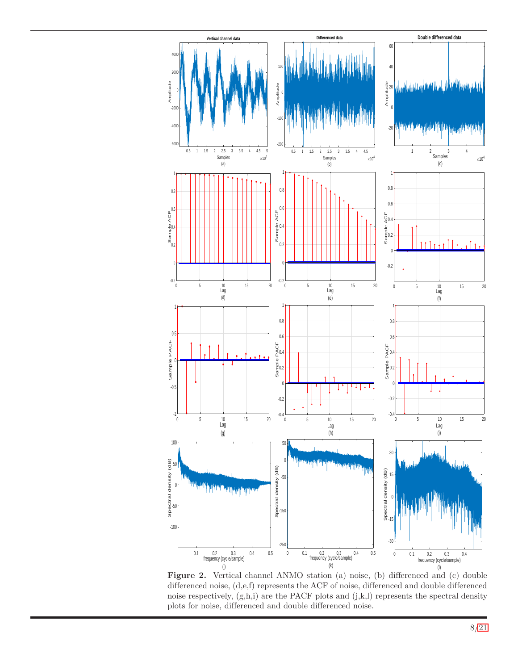<span id="page-7-0"></span>

Figure 2. Vertical channel ANMO station (a) noise, (b) differenced and (c) double differenced noise, (d,e,f) represents the ACF of noise, differenced and double differenced noise respectively,  $(g, h, i)$  are the PACF plots and  $(j, k, l)$  represents the spectral density plots for noise, differenced and double differenced noise.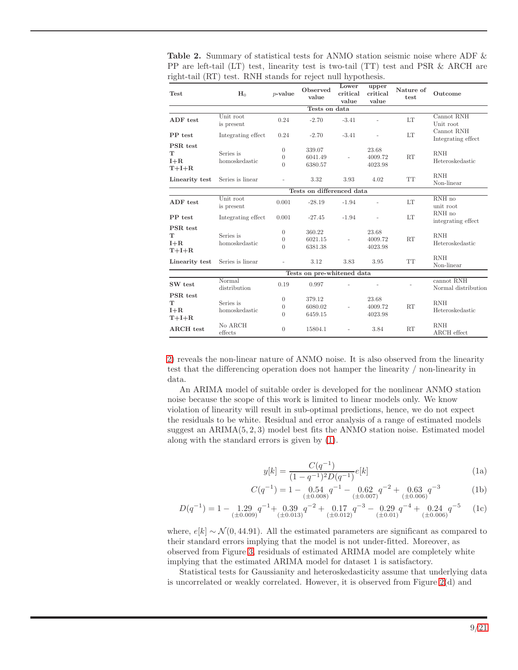<span id="page-8-0"></span>

| <b>Table 2.</b> Summary of statistical tests for ANMO station seismic noise where ADF $\&$ |
|--------------------------------------------------------------------------------------------|
| PP are left-tail (LT) test, linearity test is two-tail (TT) test and PSR & ARCH are        |
| right-tail (RT) test. RNH stands for reject null hypothesis.                               |
|                                                                                            |

| Test                                | $H_0$                      | $p$ -value                                   | Observed<br>value            | Lower<br>critical<br>value | upper<br>critical<br>value  | Nature of<br>test | Outcome                           |  |  |  |  |
|-------------------------------------|----------------------------|----------------------------------------------|------------------------------|----------------------------|-----------------------------|-------------------|-----------------------------------|--|--|--|--|
| Tests on data                       |                            |                                              |                              |                            |                             |                   |                                   |  |  |  |  |
| ADF test                            | Unit root<br>is present    | 0.24                                         | $-2.70$                      | $-3.41$                    |                             | <b>LT</b>         | Cannot RNH<br>Unit root           |  |  |  |  |
| PP test                             | Integrating effect         | 0.24                                         | $-2.70$                      | $-3.41$                    | $\bar{a}$                   | LT                | Cannot RNH<br>Integrating effect  |  |  |  |  |
| PSR test<br>т<br>$I + R$<br>$T+I+R$ | Series is<br>homoskedastic | $\Omega$<br>$\overline{0}$<br>$\overline{0}$ | 339.07<br>6041.49<br>6380.57 |                            | 23.68<br>4009.72<br>4023.98 | RT                | <b>RNH</b><br>Heteroskedastic     |  |  |  |  |
| Linearity test                      | Series is linear           |                                              | 3.32                         | 3.93                       | 4.02                        | <b>TT</b>         | <b>RNH</b><br>Non-linear          |  |  |  |  |
|                                     |                            |                                              | Tests on differenced data    |                            |                             |                   |                                   |  |  |  |  |
| ADF test                            | Unit root<br>is present    | 0.001                                        | $-28.19$                     | $-1.94$                    | $\overline{\phantom{0}}$    | LT                | RNH no<br>unit root               |  |  |  |  |
| PP test                             | Integrating effect         | 0.001                                        | $-27.45$                     | $-1.94$                    |                             | LT                | RNH no<br>integrating effect      |  |  |  |  |
| PSR test<br>т<br>$I+R$<br>$T+I+R$   | Series is<br>homoskedastic | $\theta$<br>$\theta$<br>$\overline{0}$       | 360.22<br>6021.15<br>6381.38 | $\bar{ }$                  | 23.68<br>4009.72<br>4023.98 | RT                | <b>RNH</b><br>Heteroskedastic     |  |  |  |  |
| Linearity test                      | Series is linear           |                                              | 3.12                         | 3.83                       | 3.95                        | <b>TT</b>         | <b>RNH</b><br>Non-linear          |  |  |  |  |
|                                     |                            |                                              | Tests on pre-whitened data   |                            |                             |                   |                                   |  |  |  |  |
| SW test                             | Normal<br>distribution     | 0.19                                         | 0.997                        |                            |                             |                   | cannot RNH<br>Normal distribution |  |  |  |  |
| PSR test<br>т<br>$I+R$<br>$T+I+R$   | Series is<br>homoskedastic | $\overline{0}$<br>$\theta$<br>$\Omega$       | 379.12<br>6080.02<br>6459.15 |                            | 23.68<br>4009.72<br>4023.98 | RT                | <b>RNH</b><br>Heteroskedastic     |  |  |  |  |
| <b>ARCH</b> test                    | No ARCH<br>${\rm effects}$ | $\overline{0}$                               | 15804.1                      |                            | 3.84                        | RT                | <b>RNH</b><br>ARCH effect         |  |  |  |  |

[2\)](#page-8-0) reveals the non-linear nature of ANMO noise. It is also observed from the linearity test that the differencing operation does not hamper the linearity / non-linearity in data.

<span id="page-8-1"></span>An ARIMA model of suitable order is developed for the nonlinear ANMO station noise because the scope of this work is limited to linear models only. We know violation of linearity will result in sub-optimal predictions, hence, we do not expect the residuals to be white. Residual and error analysis of a range of estimated models suggest an  $ARIMA(5, 2, 3)$  model best fits the ANMO station noise. Estimated model along with the standard errors is given by [\(1\)](#page-8-1).

$$
y[k] = \frac{C(q^{-1})}{(1 - q^{-1})^2 D(q^{-1})} e[k]
$$
 (1a)

$$
C(q^{-1}) = 1 - 0.54 \t ( \pm 0.008) \t ( \pm 0.007) \t ( \pm 0.006) \t ( \pm 0.006) \t ( \pm 0.006) \t ( \pm 0.007) \t ( \pm 0.006) \t ( \pm 0.007) \t ( \pm 0.008) \t ( \pm 0.007) \t ( \pm 0.008) \t ( \pm 0.007) \t ( \pm 0.008) \t ( \pm 0.007) \t ( \pm 0.008) \t ( \pm 0.007) \t ( \pm 0.008) \t ( \pm 0.008) \t ( \pm 0.008) \t ( \pm 0.008) \t ( \pm 0.008) \t ( \pm 0.008) \t ( \pm 0.008) \t ( \pm 0.008) \t ( \pm 0.008) \t ( \pm 0.008) \t ( \pm 0.008) \t ( \pm 0.008) \t ( \pm 0.008) \t ( \pm 0.008) \t ( \pm 0.008) \t ( \pm 0.008) \t ( \pm 0.008) \t ( \pm 0.008) \t ( \pm 0.008) \t ( \pm 0.008) \t ( \pm 0.008) \t ( \pm 0.008) \t ( \pm 0.008) \t ( \pm 0.008) \t ( \pm 0.008) \t ( \pm 0.008) \t ( \pm 0.008) \t ( \pm 0.008) \t ( \pm 0.008) \t ( \pm 0.008) \t ( \pm 0.008) \t ( \pm 0.008) \t ( \pm 0.008) \t ( \pm 0.008) \t ( \pm 0.008) \t ( \pm 0.008) \t ( \pm 0.008) \t ( \pm 0.008) \t ( \pm 0.008) \t ( \pm 0.008) \t ( \pm 0.008) \t ( \pm 0.008) \t ( \pm 0.008) \t ( \pm 0.008) \t ( \pm 0.008) \t ( \pm 0.008) \
$$

$$
D(q^{-1}) = 1 - 1.29 \cdot q^{-1} + 0.39 \cdot q^{-2} + 0.17 \cdot q^{-3} - 0.29 \cdot q^{-4} + 0.24 \cdot q^{-5} \quad (1c)
$$
  

$$
+ 0.29 \cdot q^{-4} + 0.24 \cdot q^{-5} \quad (1c)
$$

where,  $e[k] \sim \mathcal{N}(0, 44.91)$ . All the estimated parameters are significant as compared to their standard errors implying that the model is not under-fitted. Moreover, as observed from Figure [3,](#page-9-0) residuals of estimated ARIMA model are completely white implying that the estimated ARIMA model for dataset 1 is satisfactory.

Statistical tests for Gaussianity and heteroskedasticity assume that underlying data is uncorrelated or weakly correlated. However, it is observed from Figure [2\(](#page-7-0)d) and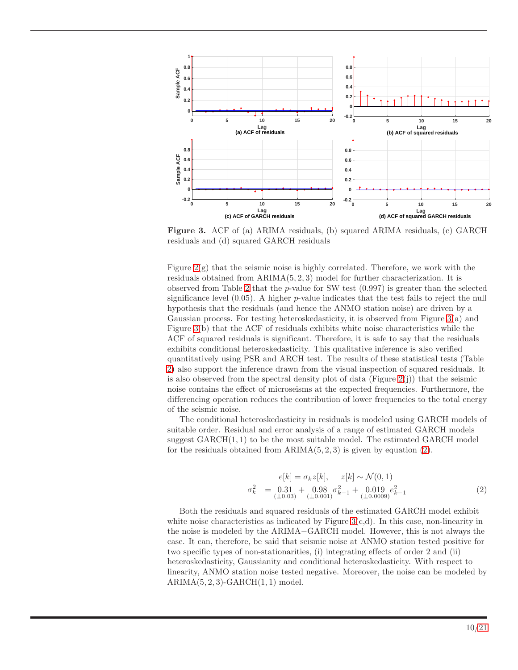<span id="page-9-0"></span>

Figure 3. ACF of (a) ARIMA residuals, (b) squared ARIMA residuals, (c) GARCH residuals and (d) squared GARCH residuals

Figure  $2(g)$  that the seismic noise is highly correlated. Therefore, we work with the residuals obtained from ARIMA(5, 2, 3) model for further characterization. It is observed from Table [2](#page-8-0) that the  $p$ -value for SW test  $(0.997)$  is greater than the selected significance level  $(0.05)$ . A higher p-value indicates that the test fails to reject the null hypothesis that the residuals (and hence the ANMO station noise) are driven by a Gaussian process. For testing heteroskedasticity, it is observed from Figure [3\(](#page-9-0)a) and Figure [3\(](#page-9-0)b) that the ACF of residuals exhibits white noise characteristics while the ACF of squared residuals is significant. Therefore, it is safe to say that the residuals exhibits conditional heteroskedasticity. This qualitative inference is also verified quantitatively using PSR and ARCH test. The results of these statistical tests (Table [2\)](#page-8-0) also support the inference drawn from the visual inspection of squared residuals. It is also observed from the spectral density plot of data (Figure  $2(i)$ ) that the seismic noise contains the effect of microseisms at the expected frequencies. Furthermore, the differencing operation reduces the contribution of lower frequencies to the total energy of the seismic noise.

The conditional heteroskedasticity in residuals is modeled using GARCH models of suitable order. Residual and error analysis of a range of estimated GARCH models suggest  $GARCH(1, 1)$  to be the most suitable model. The estimated  $GARCH$  model for the residuals obtained from  $ARIMA(5, 2, 3)$  is given by equation [\(2\)](#page-9-1).

<span id="page-9-1"></span>
$$
e[k] = \sigma_k z[k], \quad z[k] \sim \mathcal{N}(0, 1)
$$
  

$$
\sigma_k^2 = \underbrace{0.31}_{(\pm 0.03)} + \underbrace{0.98}_{(\pm 0.001)} \sigma_{k-1}^2 + \underbrace{0.019}_{(\pm 0.0009)} e_{k-1}^2
$$
(2)

Both the residuals and squared residuals of the estimated GARCH model exhibit white noise characteristics as indicated by Figure  $3(c,d)$ . In this case, non-linearity in the noise is modeled by the ARIMA−GARCH model. However, this is not always the case. It can, therefore, be said that seismic noise at ANMO station tested positive for two specific types of non-stationarities, (i) integrating effects of order 2 and (ii) heteroskedasticity, Gaussianity and conditional heteroskedasticity. With respect to linearity, ANMO station noise tested negative. Moreover, the noise can be modeled by  $ARIMA(5, 2, 3)-GARCH(1, 1) \text{ model}.$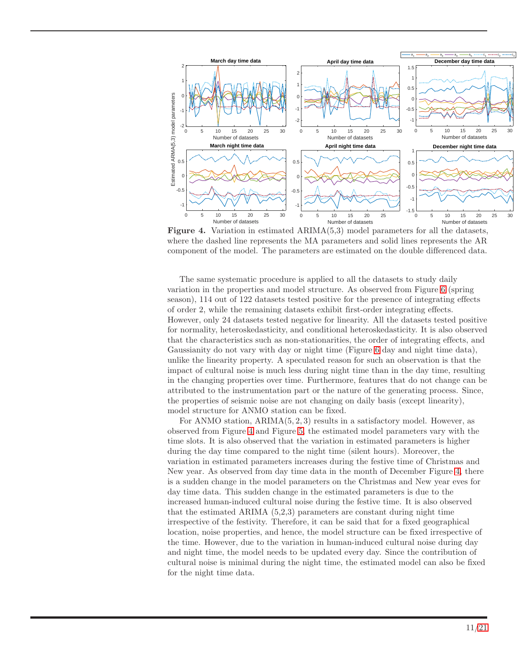<span id="page-10-0"></span>

Figure 4. Variation in estimated ARIMA(5,3) model parameters for all the datasets, where the dashed line represents the MA parameters and solid lines represents the AR component of the model. The parameters are estimated on the double differenced data.

The same systematic procedure is applied to all the datasets to study daily variation in the properties and model structure. As observed from Figure [6](#page-12-1) (spring season), 114 out of 122 datasets tested positive for the presence of integrating effects of order 2, while the remaining datasets exhibit first-order integrating effects. However, only 24 datasets tested negative for linearity. All the datasets tested positive for normality, heteroskedasticity, and conditional heteroskedasticity. It is also observed that the characteristics such as non-stationarities, the order of integrating effects, and Gaussianity do not vary with day or night time (Figure [6](#page-12-1) day and night time data), unlike the linearity property. A speculated reason for such an observation is that the impact of cultural noise is much less during night time than in the day time, resulting in the changing properties over time. Furthermore, features that do not change can be attributed to the instrumentation part or the nature of the generating process. Since, the properties of seismic noise are not changing on daily basis (except linearity), model structure for ANMO station can be fixed.

For ANMO station,  $ARIMA(5, 2, 3)$  results in a satisfactory model. However, as observed from Figure [4](#page-10-0) and Figure [5,](#page-11-0) the estimated model parameters vary with the time slots. It is also observed that the variation in estimated parameters is higher during the day time compared to the night time (silent hours). Moreover, the variation in estimated parameters increases during the festive time of Christmas and New year. As observed from day time data in the month of December Figure [4,](#page-10-0) there is a sudden change in the model parameters on the Christmas and New year eves for day time data. This sudden change in the estimated parameters is due to the increased human-induced cultural noise during the festive time. It is also observed that the estimated ARIMA (5,2,3) parameters are constant during night time irrespective of the festivity. Therefore, it can be said that for a fixed geographical location, noise properties, and hence, the model structure can be fixed irrespective of the time. However, due to the variation in human-induced cultural noise during day and night time, the model needs to be updated every day. Since the contribution of cultural noise is minimal during the night time, the estimated model can also be fixed for the night time data.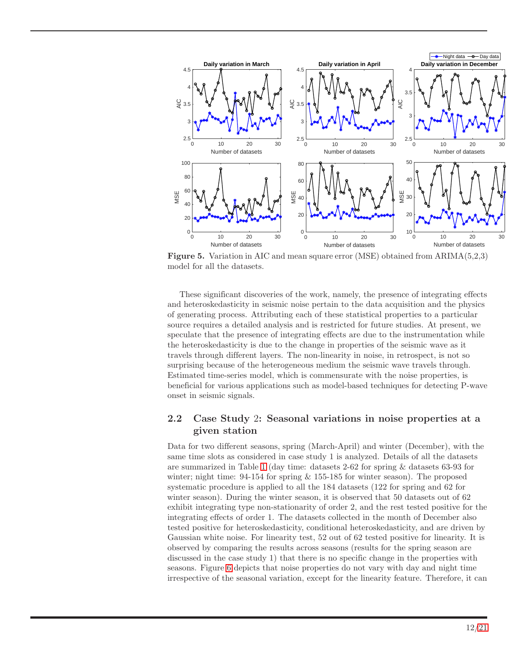<span id="page-11-0"></span>

Figure 5. Variation in AIC and mean square error (MSE) obtained from ARIMA(5,2,3) model for all the datasets.

These significant discoveries of the work, namely, the presence of integrating effects and heteroskedasticity in seismic noise pertain to the data acquisition and the physics of generating process. Attributing each of these statistical properties to a particular source requires a detailed analysis and is restricted for future studies. At present, we speculate that the presence of integrating effects are due to the instrumentation while the heteroskedasticity is due to the change in properties of the seismic wave as it travels through different layers. The non-linearity in noise, in retrospect, is not so surprising because of the heterogeneous medium the seismic wave travels through. Estimated time-series model, which is commensurate with the noise properties, is beneficial for various applications such as model-based techniques for detecting P-wave onset in seismic signals.

### 2.2 Case Study 2: Seasonal variations in noise properties at a given station

Data for two different seasons, spring (March-April) and winter (December), with the same time slots as considered in case study 1 is analyzed. Details of all the datasets are summarized in Table [1](#page-6-0) (day time: datasets 2-62 for spring & datasets 63-93 for winter; night time:  $94-154$  for spring & 155-185 for winter season). The proposed systematic procedure is applied to all the 184 datasets (122 for spring and 62 for winter season). During the winter season, it is observed that 50 datasets out of 62 exhibit integrating type non-stationarity of order 2, and the rest tested positive for the integrating effects of order 1. The datasets collected in the month of December also tested positive for heteroskedasticity, conditional heteroskedasticity, and are driven by Gaussian white noise. For linearity test, 52 out of 62 tested positive for linearity. It is observed by comparing the results across seasons (results for the spring season are discussed in the case study 1) that there is no specific change in the properties with seasons. Figure [6](#page-12-1) depicts that noise properties do not vary with day and night time irrespective of the seasonal variation, except for the linearity feature. Therefore, it can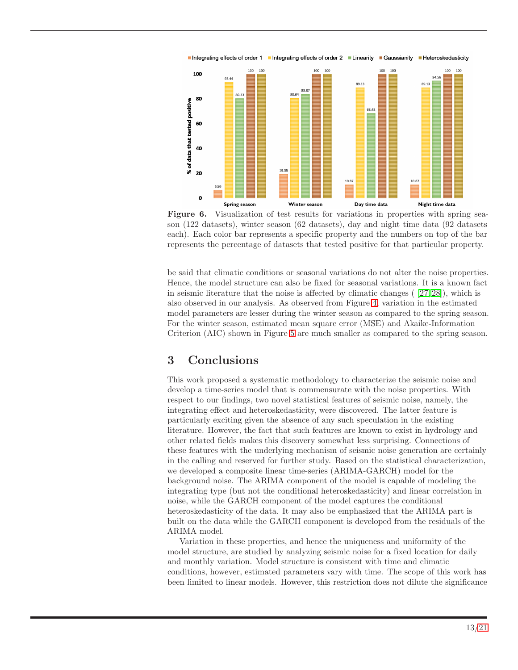<span id="page-12-1"></span>

Figure 6. Visualization of test results for variations in properties with spring season (122 datasets), winter season (62 datasets), day and night time data (92 datasets each). Each color bar represents a specific property and the numbers on top of the bar represents the percentage of datasets that tested positive for that particular property.

be said that climatic conditions or seasonal variations do not alter the noise properties. Hence, the model structure can also be fixed for seasonal variations. It is a known fact in seismic literature that the noise is affected by climatic changes  $(27, 28)$ , which is also observed in our analysis. As observed from Figure [4,](#page-10-0) variation in the estimated model parameters are lesser during the winter season as compared to the spring season. For the winter season, estimated mean square error (MSE) and Akaike-Information Criterion (AIC) shown in Figure [5](#page-11-0) are much smaller as compared to the spring season.

# <span id="page-12-0"></span>3 Conclusions

This work proposed a systematic methodology to characterize the seismic noise and develop a time-series model that is commensurate with the noise properties. With respect to our findings, two novel statistical features of seismic noise, namely, the integrating effect and heteroskedasticity, were discovered. The latter feature is particularly exciting given the absence of any such speculation in the existing literature. However, the fact that such features are known to exist in hydrology and other related fields makes this discovery somewhat less surprising. Connections of these features with the underlying mechanism of seismic noise generation are certainly in the calling and reserved for further study. Based on the statistical characterization, we developed a composite linear time-series (ARIMA-GARCH) model for the background noise. The ARIMA component of the model is capable of modeling the integrating type (but not the conditional heteroskedasticity) and linear correlation in noise, while the GARCH component of the model captures the conditional heteroskedasticity of the data. It may also be emphasized that the ARIMA part is built on the data while the GARCH component is developed from the residuals of the ARIMA model.

Variation in these properties, and hence the uniqueness and uniformity of the model structure, are studied by analyzing seismic noise for a fixed location for daily and monthly variation. Model structure is consistent with time and climatic conditions, however, estimated parameters vary with time. The scope of this work has been limited to linear models. However, this restriction does not dilute the significance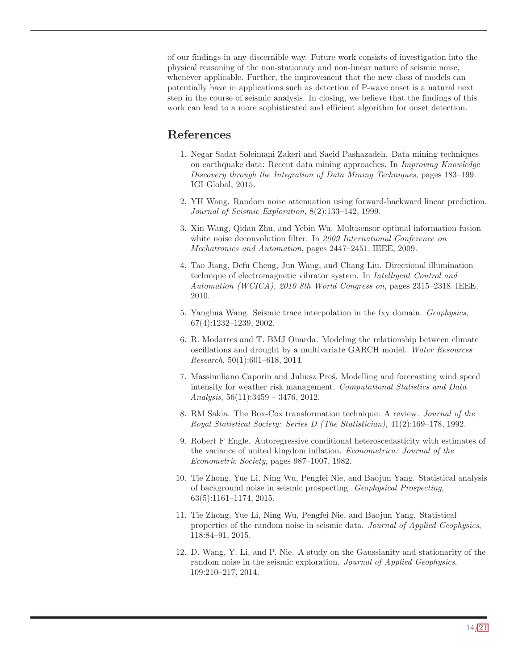of our findings in any discernible way. Future work consists of investigation into the physical reasoning of the non-stationary and non-linear nature of seismic noise, whenever applicable. Further, the improvement that the new class of models can potentially have in applications such as detection of P-wave onset is a natural next step in the course of seismic analysis. In closing, we believe that the findings of this work can lead to a more sophisticated and efficient algorithm for onset detection.

# <span id="page-13-0"></span>References

- 1. Negar Sadat Soleimani Zakeri and Saeid Pashazadeh. Data mining techniques on earthquake data: Recent data mining approaches. In *Improving Knowledge Discovery through the Integration of Data Mining Techniques*, pages 183–199. IGI Global, 2015.
- <span id="page-13-1"></span>2. YH Wang. Random noise attenuation using forward-backward linear prediction. *Journal of Seismic Exploration*, 8(2):133–142, 1999.
- <span id="page-13-2"></span>3. Xin Wang, Qidan Zhu, and Yebin Wu. Multisensor optimal information fusion white noise deconvolution filter. In *2009 International Conference on Mechatronics and Automation*, pages 2447–2451. IEEE, 2009.
- <span id="page-13-3"></span>4. Tao Jiang, Defu Cheng, Jun Wang, and Chang Liu. Directional illumination technique of electromagnetic vibrator system. In *Intelligent Control and Automation (WCICA), 2010 8th World Congress on*, pages 2315–2318. IEEE, 2010.
- <span id="page-13-4"></span>5. Yanghua Wang. Seismic trace interpolation in the fxy domain. *Geophysics*, 67(4):1232–1239, 2002.
- <span id="page-13-5"></span>6. R. Modarres and T. BMJ Ouarda. Modeling the relationship between climate oscillations and drought by a multivariate GARCH model. *Water Resources Research*, 50(1):601–618, 2014.
- <span id="page-13-6"></span>7. Massimiliano Caporin and Juliusz Pres<sup>s</sup>. Modelling and forecasting wind speed intensity for weather risk management. *Computational Statistics and Data Analysis*, 56(11):3459 – 3476, 2012.
- <span id="page-13-7"></span>8. RM Sakia. The Box-Cox transformation technique: A review. *Journal of the Royal Statistical Society: Series D (The Statistician)*, 41(2):169–178, 1992.
- <span id="page-13-8"></span>9. Robert F Engle. Autoregressive conditional heteroscedasticity with estimates of the variance of united kingdom inflation. *Econometrica: Journal of the Econometric Society*, pages 987–1007, 1982.
- <span id="page-13-9"></span>10. Tie Zhong, Yue Li, Ning Wu, Pengfei Nie, and Baojun Yang. Statistical analysis of background noise in seismic prospecting. *Geophysical Prospecting*, 63(5):1161–1174, 2015.
- <span id="page-13-10"></span>11. Tie Zhong, Yue Li, Ning Wu, Pengfei Nie, and Baojun Yang. Statistical properties of the random noise in seismic data. *Journal of Applied Geophysics*, 118:84–91, 2015.
- <span id="page-13-11"></span>12. D. Wang, Y. Li, and P. Nie. A study on the Gaussianity and stationarity of the random noise in the seismic exploration. *Journal of Applied Geophysics*, 109:210–217, 2014.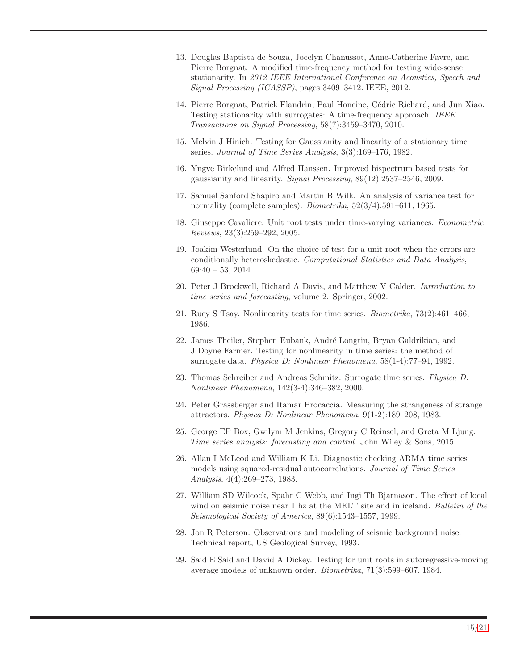- <span id="page-14-0"></span>13. Douglas Baptista de Souza, Jocelyn Chanussot, Anne-Catherine Favre, and Pierre Borgnat. A modified time-frequency method for testing wide-sense stationarity. In *2012 IEEE International Conference on Acoustics, Speech and Signal Processing (ICASSP)*, pages 3409–3412. IEEE, 2012.
- <span id="page-14-1"></span>14. Pierre Borgnat, Patrick Flandrin, Paul Honeine, C´edric Richard, and Jun Xiao. Testing stationarity with surrogates: A time-frequency approach. *IEEE Transactions on Signal Processing*, 58(7):3459–3470, 2010.
- <span id="page-14-2"></span>15. Melvin J Hinich. Testing for Gaussianity and linearity of a stationary time series. *Journal of Time Series Analysis*, 3(3):169–176, 1982.
- <span id="page-14-3"></span>16. Yngve Birkelund and Alfred Hanssen. Improved bispectrum based tests for gaussianity and linearity. *Signal Processing*, 89(12):2537–2546, 2009.
- <span id="page-14-4"></span>17. Samuel Sanford Shapiro and Martin B Wilk. An analysis of variance test for normality (complete samples). *Biometrika*, 52(3/4):591–611, 1965.
- <span id="page-14-5"></span>18. Giuseppe Cavaliere. Unit root tests under time-varying variances. *Econometric Reviews*, 23(3):259–292, 2005.
- <span id="page-14-6"></span>19. Joakim Westerlund. On the choice of test for a unit root when the errors are conditionally heteroskedastic. *Computational Statistics and Data Analysis*, 69:40 – 53, 2014.
- <span id="page-14-8"></span><span id="page-14-7"></span>20. Peter J Brockwell, Richard A Davis, and Matthew V Calder. *Introduction to time series and forecasting*, volume 2. Springer, 2002.
- <span id="page-14-9"></span>21. Ruey S Tsay. Nonlinearity tests for time series. *Biometrika*, 73(2):461–466, 1986.
- 22. James Theiler, Stephen Eubank, André Longtin, Bryan Galdrikian, and J Doyne Farmer. Testing for nonlinearity in time series: the method of surrogate data. *Physica D: Nonlinear Phenomena*, 58(1-4):77–94, 1992.
- <span id="page-14-10"></span>23. Thomas Schreiber and Andreas Schmitz. Surrogate time series. *Physica D: Nonlinear Phenomena*, 142(3-4):346–382, 2000.
- <span id="page-14-11"></span>24. Peter Grassberger and Itamar Procaccia. Measuring the strangeness of strange attractors. *Physica D: Nonlinear Phenomena*, 9(1-2):189–208, 1983.
- <span id="page-14-12"></span>25. George EP Box, Gwilym M Jenkins, Gregory C Reinsel, and Greta M Ljung. *Time series analysis: forecasting and control*. John Wiley & Sons, 2015.
- <span id="page-14-13"></span>26. Allan I McLeod and William K Li. Diagnostic checking ARMA time series models using squared-residual autocorrelations. *Journal of Time Series Analysis*, 4(4):269–273, 1983.
- <span id="page-14-14"></span>27. William SD Wilcock, Spahr C Webb, and Ingi Th Bjarnason. The effect of local wind on seismic noise near 1 hz at the MELT site and in iceland. *Bulletin of the Seismological Society of America*, 89(6):1543–1557, 1999.
- <span id="page-14-15"></span>28. Jon R Peterson. Observations and modeling of seismic background noise. Technical report, US Geological Survey, 1993.
- <span id="page-14-16"></span>29. Said E Said and David A Dickey. Testing for unit roots in autoregressive-moving average models of unknown order. *Biometrika*, 71(3):599–607, 1984.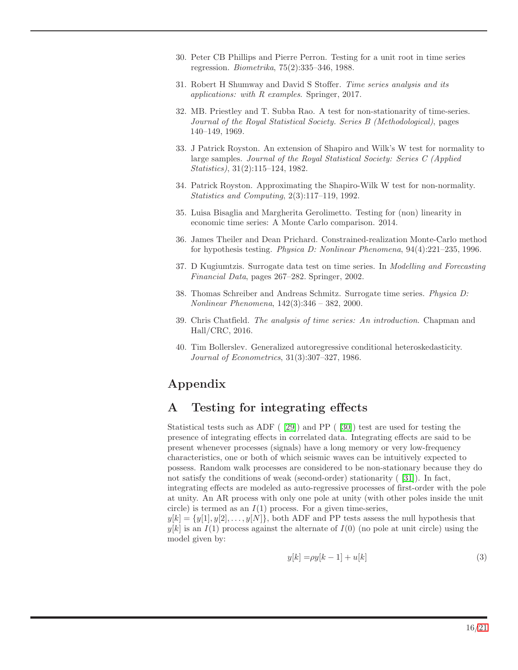- <span id="page-15-1"></span><span id="page-15-0"></span>30. Peter CB Phillips and Pierre Perron. Testing for a unit root in time series regression. *Biometrika*, 75(2):335–346, 1988.
- <span id="page-15-3"></span>31. Robert H Shumway and David S Stoffer. *Time series analysis and its applications: with R examples*. Springer, 2017.
- 32. MB. Priestley and T. Subba Rao. A test for non-stationarity of time-series. *Journal of the Royal Statistical Society. Series B (Methodological)*, pages 140–149, 1969.
- <span id="page-15-4"></span>33. J Patrick Royston. An extension of Shapiro and Wilk's W test for normality to large samples. *Journal of the Royal Statistical Society: Series C (Applied Statistics)*, 31(2):115–124, 1982.
- <span id="page-15-5"></span>34. Patrick Royston. Approximating the Shapiro-Wilk W test for non-normality. *Statistics and Computing*, 2(3):117–119, 1992.
- <span id="page-15-7"></span><span id="page-15-6"></span>35. Luisa Bisaglia and Margherita Gerolimetto. Testing for (non) linearity in economic time series: A Monte Carlo comparison. 2014.
- 36. James Theiler and Dean Prichard. Constrained-realization Monte-Carlo method for hypothesis testing. *Physica D: Nonlinear Phenomena*, 94(4):221–235, 1996.
- <span id="page-15-9"></span><span id="page-15-8"></span>37. D Kugiumtzis. Surrogate data test on time series. In *Modelling and Forecasting Financial Data*, pages 267–282. Springer, 2002.
- 38. Thomas Schreiber and Andreas Schmitz. Surrogate time series. *Physica D: Nonlinear Phenomena*, 142(3):346 – 382, 2000.
- <span id="page-15-10"></span>39. Chris Chatfield. *The analysis of time series: An introduction*. Chapman and Hall/CRC, 2016.
- <span id="page-15-11"></span>40. Tim Bollerslev. Generalized autoregressive conditional heteroskedasticity. *Journal of Econometrics*, 31(3):307–327, 1986.

# Appendix

## A Testing for integrating effects

Statistical tests such as ADF ( [\[29\]](#page-14-16)) and PP ( [\[30\]](#page-15-0)) test are used for testing the presence of integrating effects in correlated data. Integrating effects are said to be present whenever processes (signals) have a long memory or very low-frequency characteristics, one or both of which seismic waves can be intuitively expected to possess. Random walk processes are considered to be non-stationary because they do not satisfy the conditions of weak (second-order) stationarity ([\[31\]](#page-15-1)). In fact, integrating effects are modeled as auto-regressive processes of first-order with the pole at unity. An AR process with only one pole at unity (with other poles inside the unit circle) is termed as an  $I(1)$  process. For a given time-series,

 $y[k] = \{y[1], y[2], \ldots, y[N]\}$ , both ADF and PP tests assess the null hypothesis that  $y[k]$  is an  $I(1)$  process against the alternate of  $I(0)$  (no pole at unit circle) using the model given by:

<span id="page-15-2"></span>
$$
y[k] = \rho y[k-1] + u[k] \tag{3}
$$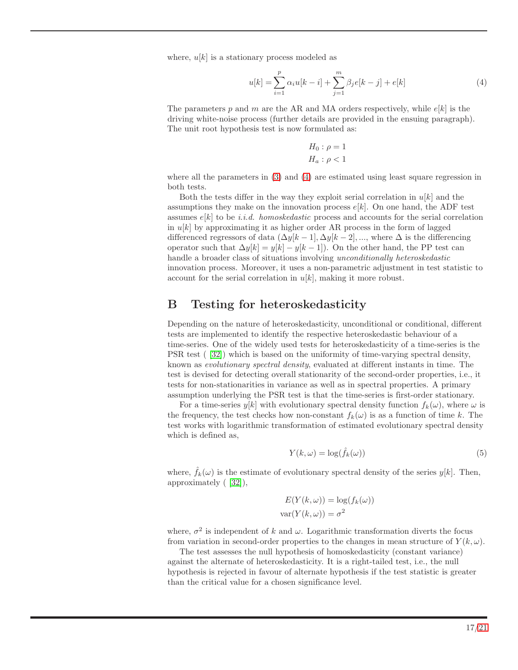where,  $u[k]$  is a stationary process modeled as

$$
u[k] = \sum_{i=1}^{p} \alpha_i u[k-i] + \sum_{j=1}^{m} \beta_j e[k-j] + e[k]
$$
 (4)

The parameters p and m are the AR and MA orders respectively, while  $e[k]$  is the driving white-noise process (further details are provided in the ensuing paragraph). The unit root hypothesis test is now formulated as:

<span id="page-16-0"></span>
$$
H_0: \rho = 1
$$

$$
H_a: \rho < 1
$$

where all the parameters in [\(3\)](#page-15-2) and [\(4\)](#page-16-0) are estimated using least square regression in both tests.

Both the tests differ in the way they exploit serial correlation in  $u[k]$  and the assumptions they make on the innovation process  $e[k]$ . On one hand, the ADF test assumes e[k] to be *i.i.d. homoskedastic* process and accounts for the serial correlation in  $u[k]$  by approximating it as higher order AR process in the form of lagged differenced regressors of data  $(\Delta y[k-1], \Delta y[k-2], \dots)$ , where  $\Delta$  is the differencing operator such that  $\Delta y[k] = y[k] - y[k-1]$ . On the other hand, the PP test can handle a broader class of situations involving *unconditionally heteroskedastic* innovation process. Moreover, it uses a non-parametric adjustment in test statistic to account for the serial correlation in  $u[k]$ , making it more robust.

### B Testing for heteroskedasticity

Depending on the nature of heteroskedasticity, unconditional or conditional, different tests are implemented to identify the respective heteroskedastic behaviour of a time-series. One of the widely used tests for heteroskedasticity of a time-series is the PSR test ( [\[32\]](#page-15-3)) which is based on the uniformity of time-varying spectral density, known as *evolutionary spectral density*, evaluated at different instants in time. The test is devised for detecting overall stationarity of the second-order properties, i.e., it tests for non-stationarities in variance as well as in spectral properties. A primary assumption underlying the PSR test is that the time-series is first-order stationary.

For a time-series  $y[k]$  with evolutionary spectral density function  $f_k(\omega)$ , where  $\omega$  is the frequency, the test checks how non-constant  $f_k(\omega)$  is as a function of time k. The test works with logarithmic transformation of estimated evolutionary spectral density which is defined as,

$$
Y(k,\omega) = \log(\hat{f}_k(\omega))\tag{5}
$$

where,  $\hat{f}_k(\omega)$  is the estimate of evolutionary spectral density of the series  $y[k]$ . Then, approximately ( [\[32\]](#page-15-3)),

$$
E(Y(k,\omega)) = \log(f_k(\omega))
$$
  
var $(Y(k,\omega)) = \sigma^2$ 

where,  $\sigma^2$  is independent of k and  $\omega$ . Logarithmic transformation diverts the focus from variation in second-order properties to the changes in mean structure of  $Y(k,\omega)$ .

The test assesses the null hypothesis of homoskedasticity (constant variance) against the alternate of heteroskedasticity. It is a right-tailed test, i.e., the null hypothesis is rejected in favour of alternate hypothesis if the test statistic is greater than the critical value for a chosen significance level.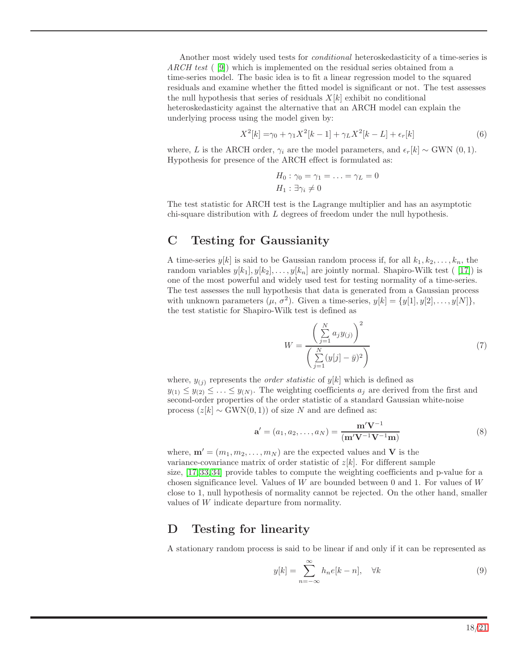Another most widely used tests for *conditional* heteroskedasticity of a time-series is *ARCH test* ( [\[9\]](#page-13-8)) which is implemented on the residual series obtained from a time-series model. The basic idea is to fit a linear regression model to the squared residuals and examine whether the fitted model is significant or not. The test assesses the null hypothesis that series of residuals  $X[k]$  exhibit no conditional heteroskedasticity against the alternative that an ARCH model can explain the underlying process using the model given by:

$$
X^{2}[k] = \gamma_0 + \gamma_1 X^{2}[k-1] + \gamma_L X^{2}[k-L] + \epsilon_r[k]
$$
\n(6)

where, L is the ARCH order,  $\gamma_i$  are the model parameters, and  $\epsilon_r[k] \sim \text{GWN}(0, 1)$ . Hypothesis for presence of the ARCH effect is formulated as:

$$
H_0: \gamma_0 = \gamma_1 = \ldots = \gamma_L = 0
$$
  

$$
H_1: \exists \gamma_i \neq 0
$$

The test statistic for ARCH test is the Lagrange multiplier and has an asymptotic chi-square distribution with  $L$  degrees of freedom under the null hypothesis.

## <span id="page-17-1"></span>C Testing for Gaussianity

A time-series  $y[k]$  is said to be Gaussian random process if, for all  $k_1, k_2, \ldots, k_n$ , the random variables  $y[k_1], y[k_2], \ldots, y[k_n]$  are jointly normal. Shapiro-Wilk test ( [\[17\]](#page-14-4)) is one of the most powerful and widely used test for testing normality of a time-series. The test assesses the null hypothesis that data is generated from a Gaussian process with unknown parameters  $(\mu, \sigma^2)$ . Given a time-series,  $y[k] = \{y[1], y[2], \ldots, y[N]\},$ the test statistic for Shapiro-Wilk test is defined as

$$
W = \frac{\left(\sum_{j=1}^{N} a_j y_{(j)}\right)^2}{\left(\sum_{j=1}^{N} (y[j] - \bar{y})^2\right)}
$$
(7)

where,  $y_{(i)}$  represents the *order statistic* of  $y[k]$  which is defined as  $y_{(1)} \leq y_{(2)} \leq \ldots \leq y_{(N)}$ . The weighting coefficients  $a_j$  are derived from the first and second-order properties of the order statistic of a standard Gaussian white-noise process  $(z[k] \sim \text{GWN}(0, 1))$  of size N and are defined as:

$$
\mathbf{a}' = (a_1, a_2, \dots, a_N) = \frac{\mathbf{m}' \mathbf{V}^{-1}}{(\mathbf{m}' \mathbf{V}^{-1} \mathbf{V}^{-1} \mathbf{m})}
$$
(8)

where,  $\mathbf{m}' = (m_1, m_2, \dots, m_N)$  are the expected values and V is the variance-covariance matrix of order statistic of  $z[k]$ . For different sample size, [\[17,](#page-14-4) [33,](#page-15-4) [34\]](#page-15-5) provide tables to compute the weighting coefficients and p-value for a chosen significance level. Values of  $W$  are bounded between 0 and 1. For values of  $W$ close to 1, null hypothesis of normality cannot be rejected. On the other hand, smaller values of W indicate departure from normality.

## <span id="page-17-0"></span>D Testing for linearity

A stationary random process is said to be linear if and only if it can be represented as

$$
y[k] = \sum_{n = -\infty}^{\infty} h_n e[k - n], \quad \forall k
$$
\n(9)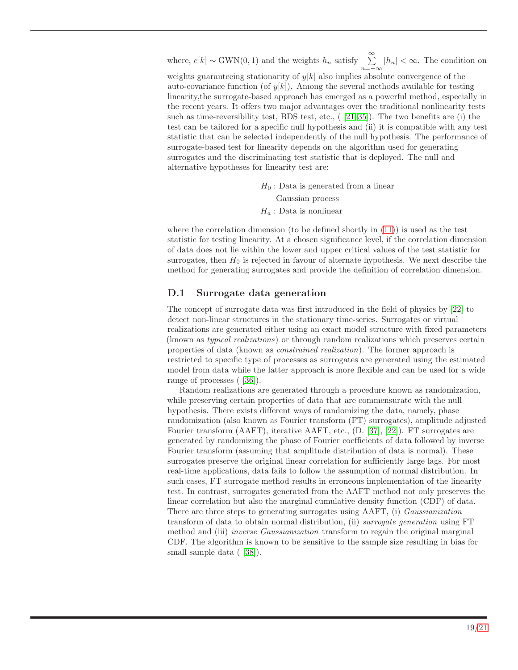where,  $e[k] \sim \text{GWN}(0, 1)$  and the weights  $h_n$  satisfy  $\sum_{n=-\infty}^{\infty} |h_n| < \infty$ . The condition on weights guaranteeing stationarity of  $y[k]$  also implies absolute convergence of the auto-covariance function (of  $y[k]$ ). Among the several methods available for testing linearity,the surrogate-based approach has emerged as a powerful method, especially in the recent years. It offers two major advantages over the traditional nonlinearity tests such as time-reversibility test, BDS test, etc.,  $(21, 35)$ . The two benefits are (i) the test can be tailored for a specific null hypothesis and (ii) it is compatible with any test statistic that can be selected independently of the null hypothesis. The performance of surrogate-based test for linearity depends on the algorithm used for generating surrogates and the discriminating test statistic that is deployed. The null and alternative hypotheses for linearity test are:

> $H_0$ : Data is generated from a linear Gaussian process  $H_a$ : Data is nonlinear

where the correlation dimension (to be defined shortly in  $(11)$ ) is used as the test statistic for testing linearity. At a chosen significance level, if the correlation dimension of data does not lie within the lower and upper critical values of the test statistic for surrogates, then  $H_0$  is rejected in favour of alternate hypothesis. We next describe the method for generating surrogates and provide the definition of correlation dimension.

#### D.1 Surrogate data generation

The concept of surrogate data was first introduced in the field of physics by [\[22\]](#page-14-9) to detect non-linear structures in the stationary time-series. Surrogates or virtual realizations are generated either using an exact model structure with fixed parameters (known as *typical realizations*) or through random realizations which preserves certain properties of data (known as *constrained realization*). The former approach is restricted to specific type of processes as surrogates are generated using the estimated model from data while the latter approach is more flexible and can be used for a wide range of processes ( [\[36\]](#page-15-7)).

Random realizations are generated through a procedure known as randomization, while preserving certain properties of data that are commensurate with the null hypothesis. There exists different ways of randomizing the data, namely, phase randomization (also known as Fourier transform (FT) surrogates), amplitude adjusted Fourier transform (AAFT), iterative AAFT, etc., (D. [\[37\]](#page-15-8), [\[22\]](#page-14-9)). FT surrogates are generated by randomizing the phase of Fourier coefficients of data followed by inverse Fourier transform (assuming that amplitude distribution of data is normal). These surrogates preserve the original linear correlation for sufficiently large lags. For most real-time applications, data fails to follow the assumption of normal distribution. In such cases, FT surrogate method results in erroneous implementation of the linearity test. In contrast, surrogates generated from the AAFT method not only preserves the linear correlation but also the marginal cumulative density function (CDF) of data. There are three steps to generating surrogates using AAFT, (i) *Gaussianization* transform of data to obtain normal distribution, (ii) *surrogate generation* using FT method and (iii) *inverse Gaussianization* transform to regain the original marginal CDF. The algorithm is known to be sensitive to the sample size resulting in bias for small sample data ([38]).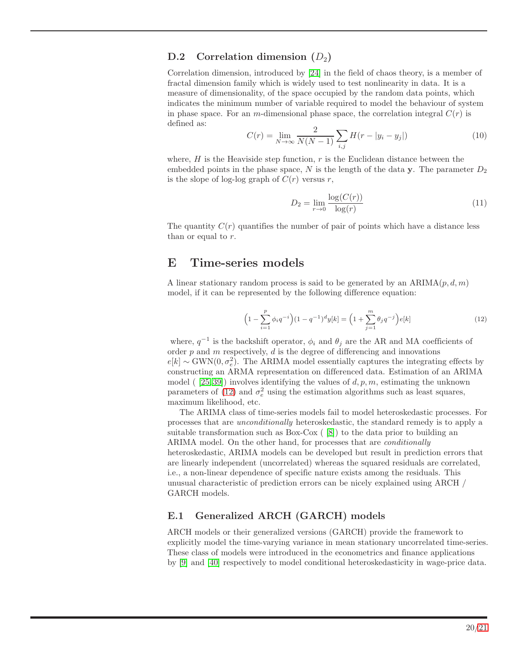#### D.2 Correlation dimension  $(D_2)$

Correlation dimension, introduced by [\[24\]](#page-14-11) in the field of chaos theory, is a member of fractal dimension family which is widely used to test nonlinearity in data. It is a measure of dimensionality, of the space occupied by the random data points, which indicates the minimum number of variable required to model the behaviour of system in phase space. For an m-dimensional phase space, the correlation integral  $C(r)$  is defined as:

$$
C(r) = \lim_{N \to \infty} \frac{2}{N(N-1)} \sum_{i,j} H(r - |y_i - y_j|)
$$
 (10)

where,  $H$  is the Heaviside step function,  $r$  is the Euclidean distance between the embedded points in the phase space, N is the length of the data y. The parameter  $D_2$ is the slope of log-log graph of  $C(r)$  versus r,

<span id="page-19-3"></span><span id="page-19-2"></span>
$$
D_2 = \lim_{r \to 0} \frac{\log(C(r))}{\log(r)}\tag{11}
$$

The quantity  $C(r)$  quantifies the number of pair of points which have a distance less than or equal to  $r$ .

### <span id="page-19-0"></span>E Time-series models

A linear stationary random process is said to be generated by an  $ARIMA(p, d, m)$ model, if it can be represented by the following difference equation:

$$
\left(1 - \sum_{i=1}^{p} \phi_i q^{-i}\right) (1 - q^{-1})^d y[k] = \left(1 + \sum_{j=1}^{m} \theta_j q^{-j}\right) e[k] \tag{12}
$$

where,  $q^{-1}$  is the backshift operator,  $\phi_i$  and  $\theta_j$  are the AR and MA coefficients of order  $p$  and  $m$  respectively,  $d$  is the degree of differencing and innovations  $e[k] \sim \text{GWN}(0, \sigma_e^2)$ . The ARIMA model essentially captures the integrating effects by constructing an ARMA representation on differenced data. Estimation of an ARIMA model (  $[25, 39]$  $[25, 39]$ ) involves identifying the values of  $d, p, m$ , estimating the unknown parameters of [\(12\)](#page-19-3) and  $\sigma_e^2$  using the estimation algorithms such as least squares, maximum likelihood, etc.

The ARIMA class of time-series models fail to model heteroskedastic processes. For processes that are *unconditionally* heteroskedastic, the standard remedy is to apply a suitable transformation such as Box-Cox ( [\[8\]](#page-13-7)) to the data prior to building an ARIMA model. On the other hand, for processes that are *conditionally* heteroskedastic, ARIMA models can be developed but result in prediction errors that are linearly independent (uncorrelated) whereas the squared residuals are correlated, i.e., a non-linear dependence of specific nature exists among the residuals. This unusual characteristic of prediction errors can be nicely explained using ARCH / GARCH models.

#### <span id="page-19-1"></span>E.1 Generalized ARCH (GARCH) models

ARCH models or their generalized versions (GARCH) provide the framework to explicitly model the time-varying variance in mean stationary uncorrelated time-series. These class of models were introduced in the econometrics and finance applications by [\[9\]](#page-13-8) and [\[40\]](#page-15-11) respectively to model conditional heteroskedasticity in wage-price data.